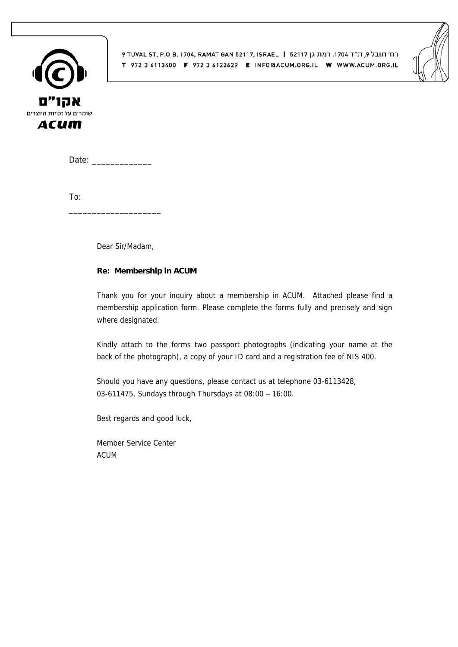

9 TUVAL ST, P.O.B. 1704, RAMAT GAN 52117, ISRAEL | 52117 לח׳ תובל 9, ת"ד 1704 FUVAL ST, P.O.B. 1704 T 972 3 6113400 F 972 3 6122629 E INFO@ACUM.ORG.IL W WWW.ACUM.ORG.IL



Date: \_\_\_\_\_\_\_\_\_\_\_\_\_

To:

Dear Sir/Madam,

\_\_\_\_\_\_\_\_\_\_\_\_\_\_\_\_\_\_\_\_

#### **Re: Membership in ACUM**

Thank you for your inquiry about a membership in ACUM. Attached please find a membership application form. Please complete the forms fully and precisely and sign where designated.

Kindly attach to the forms two passport photographs (indicating your name at the back of the photograph), a copy of your ID card and a registration fee of NIS 400.

Should you have any questions, please contact us at telephone 03-6113428, 03-611475, Sundays through Thursdays at 08:00 – 16:00.

Best regards and good luck,

Member Service Center ACUM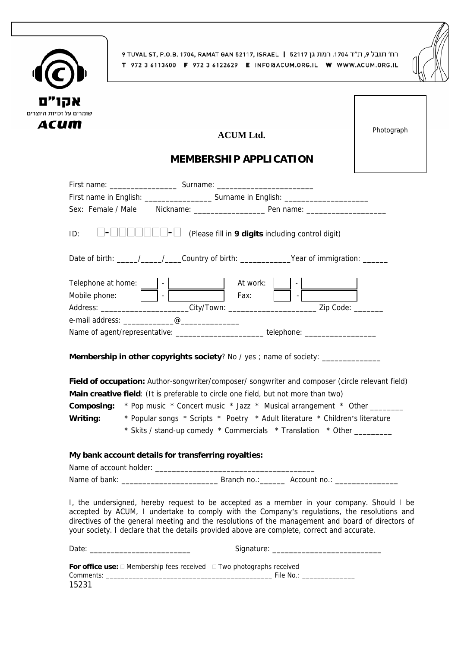



# ACUM Ltd. **Photograph**

## **MEMBERSHIP APPLICATION**

| ID:      |                                                     | - 1 | (Please fill in 9 digits including control digit)                                                                                                                                                                                                                                                                                                                                                                                                                                                                                                        |
|----------|-----------------------------------------------------|-----|----------------------------------------------------------------------------------------------------------------------------------------------------------------------------------------------------------------------------------------------------------------------------------------------------------------------------------------------------------------------------------------------------------------------------------------------------------------------------------------------------------------------------------------------------------|
|          |                                                     |     | Date of birth: ____/___/___/___Country of birth: ____________Year of immigration: _____                                                                                                                                                                                                                                                                                                                                                                                                                                                                  |
|          | Telephone at home:<br>Mobile phone:                 |     | At work:<br>$k:$ $\begin{array}{ c c c c }\hline \rule{0pt}{1ex}\rule{0pt}{1ex}\rule{0pt}{1ex}\rule{0pt}{1ex}\rule{0pt}{1ex}\rule{0pt}{1ex}\rule{0pt}{1ex}\rule{0pt}{1ex}\rule{0pt}{1ex}\rule{0pt}{1ex}\rule{0pt}{1ex}\rule{0pt}{1ex}\rule{0pt}{1ex}\rule{0pt}{1ex}\rule{0pt}{1ex}\rule{0pt}{1ex}\rule{0pt}{1ex}\rule{0pt}{1ex}\rule{0pt}{1ex}\rule{0pt}{1ex}\rule{0pt}{1ex}\rule{0pt}{1ex}\rule{0pt}{1ex}\rule{0pt}{1ex}\rule{0pt}{$<br>$ $ Fax:<br>Address: _______________________City/Town: ________________________________Zip Code: ______________ |
|          |                                                     |     |                                                                                                                                                                                                                                                                                                                                                                                                                                                                                                                                                          |
|          |                                                     |     | Name of agent/representative: _________________________telephone: _______________                                                                                                                                                                                                                                                                                                                                                                                                                                                                        |
| Writing: |                                                     |     | Membership in other copyrights society? No / yes ; name of society: _____________<br>Field of occupation: Author-songwriter/composer/ songwriter and composer (circle relevant field)<br>Main creative field: (It is preferable to circle one field, but not more than two)<br><b>Composing:</b> * Pop music * Concert music * Jazz * Musical arrangement * Other _______<br>* Popular songs * Scripts * Poetry * Adult literature * Children's literature<br>* Skits / stand-up comedy * Commercials * Translation * Other _________                    |
|          | My bank account details for transferring royalties: |     |                                                                                                                                                                                                                                                                                                                                                                                                                                                                                                                                                          |
|          |                                                     |     |                                                                                                                                                                                                                                                                                                                                                                                                                                                                                                                                                          |
|          |                                                     |     |                                                                                                                                                                                                                                                                                                                                                                                                                                                                                                                                                          |
|          |                                                     |     | I, the undersigned, hereby request to be accepted as a member in your company. Should I be<br>accepted by ACUM, I undertake to comply with the Company's regulations, the resolutions and<br>directives of the general meeting and the resolutions of the management and board of directors of<br>your society. I declare that the details provided above are complete, correct and accurate.                                                                                                                                                            |
|          |                                                     |     |                                                                                                                                                                                                                                                                                                                                                                                                                                                                                                                                                          |
| 15231    |                                                     |     | For office use: □ Membership fees received □ Two photographs received                                                                                                                                                                                                                                                                                                                                                                                                                                                                                    |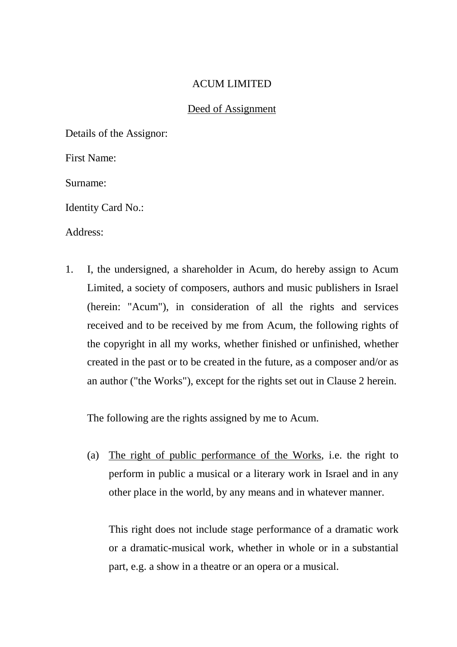#### ACUM LIMITED

#### Deed of Assignment

Details of the Assignor:

First Name:

Surname:

Identity Card No.:

Address:

1. I, the undersigned, a shareholder in Acum, do hereby assign to Acum Limited, a society of composers, authors and music publishers in Israel (herein: "Acum"), in consideration of all the rights and services received and to be received by me from Acum, the following rights of the copyright in all my works, whether finished or unfinished, whether created in the past or to be created in the future, as a composer and/or as an author ("the Works"), except for the rights set out in Clause 2 herein.

The following are the rights assigned by me to Acum.

 (a) The right of public performance of the Works, i.e. the right to perform in public a musical or a literary work in Israel and in any other place in the world, by any means and in whatever manner.

 This right does not include stage performance of a dramatic work or a dramatic-musical work, whether in whole or in a substantial part, e.g. a show in a theatre or an opera or a musical.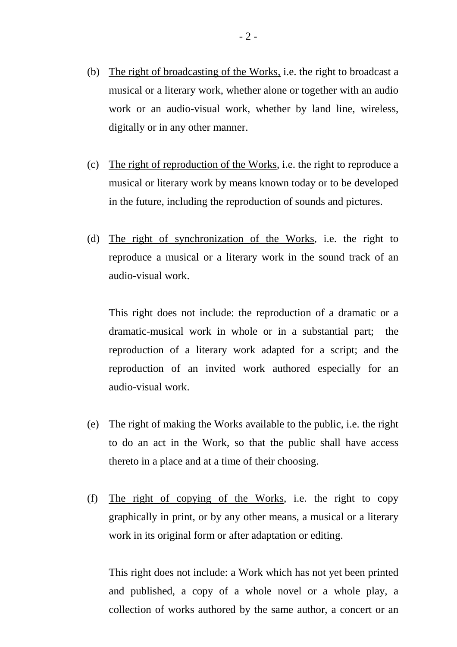- (b) The right of broadcasting of the Works, i.e. the right to broadcast a musical or a literary work, whether alone or together with an audio work or an audio-visual work, whether by land line, wireless, digitally or in any other manner.
- (c) The right of reproduction of the Works, i.e. the right to reproduce a musical or literary work by means known today or to be developed in the future, including the reproduction of sounds and pictures.
- (d) The right of synchronization of the Works, i.e. the right to reproduce a musical or a literary work in the sound track of an audio-visual work.

 This right does not include: the reproduction of a dramatic or a dramatic-musical work in whole or in a substantial part; the reproduction of a literary work adapted for a script; and the reproduction of an invited work authored especially for an audio-visual work.

- (e) The right of making the Works available to the public, i.e. the right to do an act in the Work, so that the public shall have access thereto in a place and at a time of their choosing.
- (f) The right of copying of the Works, i.e. the right to copy graphically in print, or by any other means, a musical or a literary work in its original form or after adaptation or editing.

 This right does not include: a Work which has not yet been printed and published, a copy of a whole novel or a whole play, a collection of works authored by the same author, a concert or an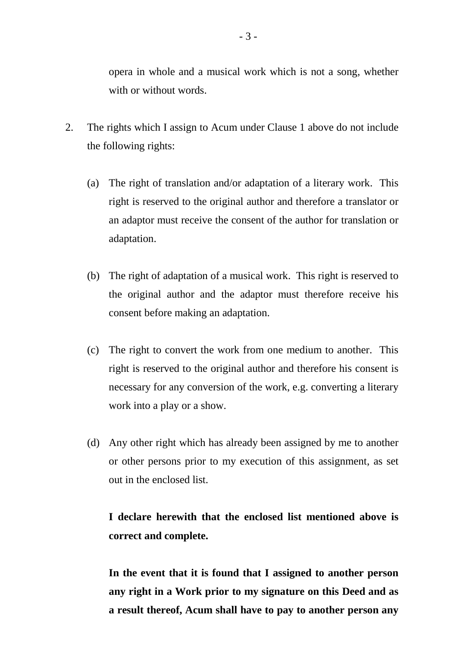opera in whole and a musical work which is not a song, whether with or without words.

- 2. The rights which I assign to Acum under Clause 1 above do not include the following rights:
	- (a) The right of translation and/or adaptation of a literary work. This right is reserved to the original author and therefore a translator or an adaptor must receive the consent of the author for translation or adaptation.
	- (b) The right of adaptation of a musical work. This right is reserved to the original author and the adaptor must therefore receive his consent before making an adaptation.
	- (c) The right to convert the work from one medium to another. This right is reserved to the original author and therefore his consent is necessary for any conversion of the work, e.g. converting a literary work into a play or a show.
	- (d) Any other right which has already been assigned by me to another or other persons prior to my execution of this assignment, as set out in the enclosed list.

## **I declare herewith that the enclosed list mentioned above is correct and complete.**

 **In the event that it is found that I assigned to another person any right in a Work prior to my signature on this Deed and as a result thereof, Acum shall have to pay to another person any**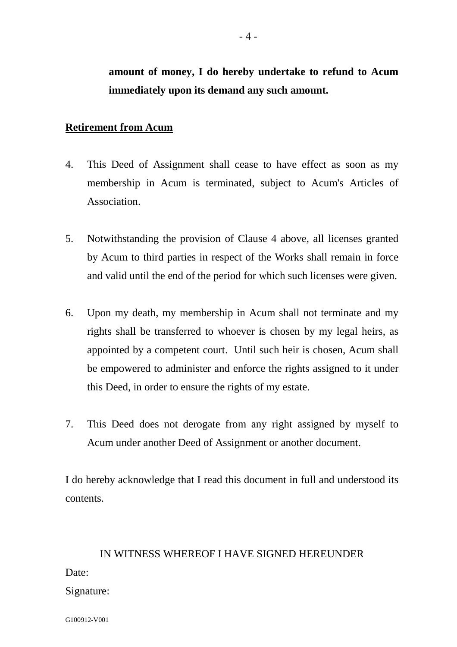## **amount of money, I do hereby undertake to refund to Acum immediately upon its demand any such amount.**

### **Retirement from Acum**

- 4. This Deed of Assignment shall cease to have effect as soon as my membership in Acum is terminated, subject to Acum's Articles of Association.
- 5. Notwithstanding the provision of Clause 4 above, all licenses granted by Acum to third parties in respect of the Works shall remain in force and valid until the end of the period for which such licenses were given.
- 6. Upon my death, my membership in Acum shall not terminate and my rights shall be transferred to whoever is chosen by my legal heirs, as appointed by a competent court. Until such heir is chosen, Acum shall be empowered to administer and enforce the rights assigned to it under this Deed, in order to ensure the rights of my estate.
- 7. This Deed does not derogate from any right assigned by myself to Acum under another Deed of Assignment or another document.

I do hereby acknowledge that I read this document in full and understood its contents.

# IN WITNESS WHEREOF I HAVE SIGNED HEREUNDER Date: Signature:

G100912-V001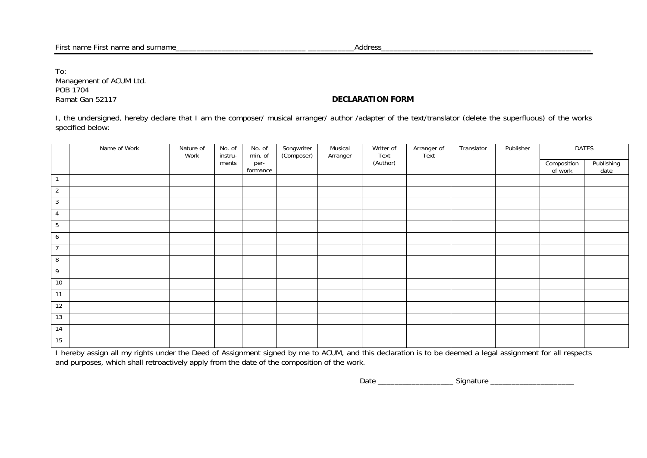To: Management of ACUM Ltd. POB 1704 Ramat Gan 52117 **DECLARATION FORM** 

I, the undersigned, hereby declare that I am the composer/ musical arranger/ author /adapter of the text/translator (delete the superfluous) of the works specified below:

|                  | Name of Work | Nature of<br>Work | No. of<br>instru- | No. of<br>min. of | Songwriter<br>(Composer) | Musical<br>Arranger | Writer of<br>Text | Arranger of<br>Text | Translator | Publisher | <b>DATES</b>           |                    |
|------------------|--------------|-------------------|-------------------|-------------------|--------------------------|---------------------|-------------------|---------------------|------------|-----------|------------------------|--------------------|
|                  |              |                   | ments             | per-<br>formance  |                          |                     | (Author)          |                     |            |           | Composition<br>of work | Publishing<br>date |
| $\overline{1}$   |              |                   |                   |                   |                          |                     |                   |                     |            |           |                        |                    |
| $\overline{2}$   |              |                   |                   |                   |                          |                     |                   |                     |            |           |                        |                    |
| $\mathbf{3}$     |              |                   |                   |                   |                          |                     |                   |                     |            |           |                        |                    |
| $\overline{4}$   |              |                   |                   |                   |                          |                     |                   |                     |            |           |                        |                    |
| $5\phantom{.0}$  |              |                   |                   |                   |                          |                     |                   |                     |            |           |                        |                    |
| 6                |              |                   |                   |                   |                          |                     |                   |                     |            |           |                        |                    |
| $\overline{7}$   |              |                   |                   |                   |                          |                     |                   |                     |            |           |                        |                    |
| $\boldsymbol{8}$ |              |                   |                   |                   |                          |                     |                   |                     |            |           |                        |                    |
| 9                |              |                   |                   |                   |                          |                     |                   |                     |            |           |                        |                    |
| 10               |              |                   |                   |                   |                          |                     |                   |                     |            |           |                        |                    |
| 11               |              |                   |                   |                   |                          |                     |                   |                     |            |           |                        |                    |
| 12               |              |                   |                   |                   |                          |                     |                   |                     |            |           |                        |                    |
| 13               |              |                   |                   |                   |                          |                     |                   |                     |            |           |                        |                    |
| 14               |              |                   |                   |                   |                          |                     |                   |                     |            |           |                        |                    |
| 15               |              |                   |                   |                   |                          |                     |                   |                     |            |           |                        |                    |

I hereby assign all my rights under the Deed of Assignment signed by me to ACUM, and this declaration is to be deemed a legal assignment for all respects and purposes, which shall retroactively apply from the date of the composition of the work.

Date \_\_\_\_\_\_\_\_\_\_\_\_\_\_\_\_\_\_ Signature \_\_\_\_\_\_\_\_\_\_\_\_\_\_\_\_\_\_\_\_